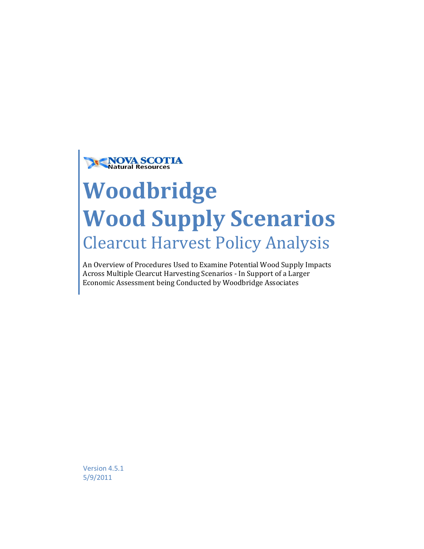

# **Woodbridge Wood Supply Scenarios** Clearcut Harvest Policy Analysis

An Overview of Procedures Used to Examine Potential Wood Supply Impacts Across Multiple Clearcut Harvesting Scenarios - In Support of a Larger Economic Assessment being Conducted by Woodbridge Associates

Version 4.5.1 5/9/2011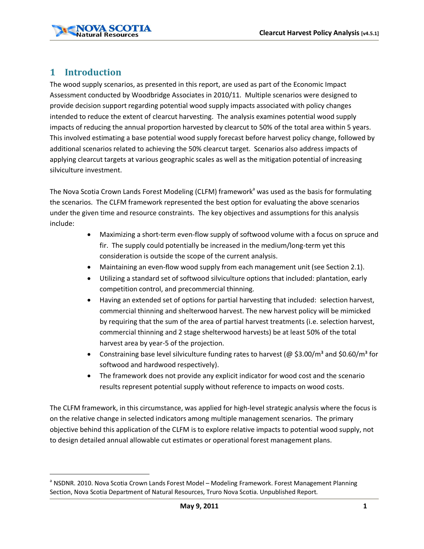

# **1 Introduction**

The wood supply scenarios, as presented in this report, are used as part of the Economic Impact Assessment conducted by Woodbridge Associates in 2010/11. Multiple scenarios were designed to provide decision support regarding potential wood supply impacts associated with policy changes intended to reduce the extent of clearcut harvesting. The analysis examines potential wood supply impacts of reducing the annual proportion harvested by clearcut to 50% of the total area within 5 years. This involved estimating a base potential wood supply forecast before harvest policy change, followed by additional scenarios related to achieving the 50% clearcut target. Scenarios also address impacts of applying clearcut targets at various geographic scales as well as the mitigation potential of increasing silviculture investment.

The Nova Scotia Crown Lands Forest Modeling (CLFM) framework<sup>a</sup> was used as the basis for formulating the scenarios. The CLFM framework represented the best option for evaluating the above scenarios under the given time and resource constraints. The key objectives and assumptions for this analysis include:

- · Maximizing a short-term even-flow supply of softwood volume with a focus on spruce and fir. The supply could potentially be increased in the medium/long-term yet this consideration is outside the scope of the current analysis.
- · Maintaining an even-flow wood supply from each management unit (see Section 2.1).
- · Utilizing a standard set of softwood silviculture options that included: plantation, early competition control, and precommercial thinning.
- · Having an extended set of options for partial harvesting that included: selection harvest, commercial thinning and shelterwood harvest. The new harvest policy will be mimicked by requiring that the sum of the area of partial harvest treatments (i.e. selection harvest, commercial thinning and 2 stage shelterwood harvests) be at least 50% of the total harvest area by year-5 of the projection.
- Constraining base level silviculture funding rates to harvest ( $\omega$  \$3.00/m<sup>3</sup> and \$0.60/m<sup>3</sup> for softwood and hardwood respectively).
- The framework does not provide any explicit indicator for wood cost and the scenario results represent potential supply without reference to impacts on wood costs.

The CLFM framework, in this circumstance, was applied for high-level strategic analysis where the focus is on the relative change in selected indicators among multiple management scenarios. The primary objective behind this application of the CLFM is to explore relative impacts to potential wood supply, not to design detailed annual allowable cut estimates or operational forest management plans.

<sup>&</sup>lt;sup>a</sup> NSDNR. 2010. Nova Scotia Crown Lands Forest Model – Modeling Framework. Forest Management Planning Section, Nova Scotia Department of Natural Resources, Truro Nova Scotia. Unpublished Report.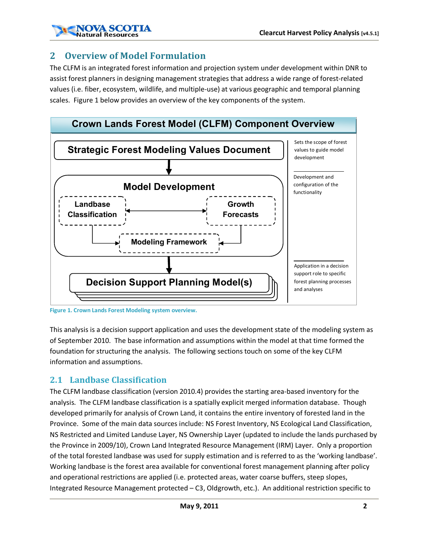# **2 Overview of Model Formulation**

The CLFM is an integrated forest information and projection system under development within DNR to assist forest planners in designing management strategies that address a wide range of forest-related values (i.e. fiber, ecosystem, wildlife, and multiple-use) at various geographic and temporal planning scales. Figure 1 below provides an overview of the key components of the system.



**Figure 1. Crown Lands Forest Modeling system overview.**

This analysis is a decision support application and uses the development state of the modeling system as of September 2010. The base information and assumptions within the model at that time formed the foundation for structuring the analysis. The following sections touch on some of the key CLFM information and assumptions.

# **2.1 Landbase Classification**

The CLFM landbase classification (version 2010.4) provides the starting area-based inventory for the analysis. The CLFM landbase classification is a spatially explicit merged information database. Though developed primarily for analysis of Crown Land, it contains the entire inventory of forested land in the Province. Some of the main data sources include: NS Forest Inventory, NS Ecological Land Classification, NS Restricted and Limited Landuse Layer, NS Ownership Layer (updated to include the lands purchased by the Province in 2009/10), Crown Land Integrated Resource Management (IRM) Layer. Only a proportion of the total forested landbase was used for supply estimation and is referred to as the 'working landbase'. Working landbase is the forest area available for conventional forest management planning after policy and operational restrictions are applied (i.e. protected areas, water coarse buffers, steep slopes, Integrated Resource Management protected – C3, Oldgrowth, etc.). An additional restriction specific to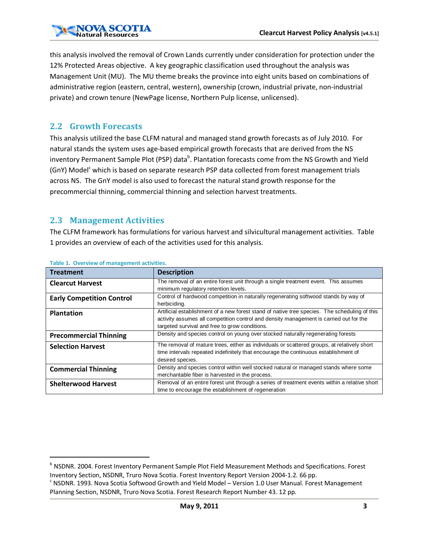this analysis involved the removal of Crown Lands currently under consideration for protection under the 12% Protected Areas objective. A key geographic classification used throughout the analysis was Management Unit (MU). The MU theme breaks the province into eight units based on combinations of administrative region (eastern, central, western), ownership (crown, industrial private, non-industrial private) and crown tenure (NewPage license, Northern Pulp license, unlicensed).

#### **2.2 Growth Forecasts**

This analysis utilized the base CLFM natural and managed stand growth forecasts as of July 2010. For natural stands the system uses age-based empirical growth forecasts that are derived from the NS inventory Permanent Sample Plot (PSP) data<sup>b</sup>. Plantation forecasts come from the NS Growth and Yield (GnY) Model<sup>c</sup> which is based on separate research PSP data collected from forest management trials across NS. The GnY model is also used to forecast the natural stand growth response for the precommercial thinning, commercial thinning and selection harvest treatments.

#### **2.3 Management Activities**

The CLFM framework has formulations for various harvest and silvicultural management activities. Table 1 provides an overview of each of the activities used for this analysis.

| <b>Treatment</b>                 | <b>Description</b>                                                                            |  |  |  |  |
|----------------------------------|-----------------------------------------------------------------------------------------------|--|--|--|--|
| <b>Clearcut Harvest</b>          | The removal of an entire forest unit through a single treatment event. This assumes           |  |  |  |  |
|                                  | minimum regulatory retention levels.                                                          |  |  |  |  |
| <b>Early Competition Control</b> | Control of hardwood competition in naturally regenerating softwood stands by way of           |  |  |  |  |
|                                  | herbiciding.                                                                                  |  |  |  |  |
| <b>Plantation</b>                | Artificial establishment of a new forest stand of native tree species. The scheduling of this |  |  |  |  |
|                                  | activity assumes all competition control and density management is carried out for the        |  |  |  |  |
|                                  | targeted survival and free to grow conditions.                                                |  |  |  |  |
| <b>Precommercial Thinning</b>    | Density and species control on young over stocked naturally regenerating forests              |  |  |  |  |
| <b>Selection Harvest</b>         | The removal of mature trees, either as individuals or scattered groups, at relatively short   |  |  |  |  |
|                                  | time intervals repeated indefinitely that encourage the continuous establishment of           |  |  |  |  |
|                                  | desired species.                                                                              |  |  |  |  |
| <b>Commercial Thinning</b>       | Density and species control within well stocked natural or managed stands where some          |  |  |  |  |
|                                  | merchantable fiber is harvested in the process.                                               |  |  |  |  |
| <b>Shelterwood Harvest</b>       | Removal of an entire forest unit through a series of treatment events within a relative short |  |  |  |  |
|                                  | time to encourage the establishment of regeneration                                           |  |  |  |  |

#### **Table 1. Overview of management activities.**

b NSDNR. 2004. Forest Inventory Permanent Sample Plot Field Measurement Methods and Specifications. Forest Inventory Section, NSDNR, Truro Nova Scotia. Forest Inventory Report Version 2004-1.2. 66 pp.<br><sup>c</sup> NSDNR. 1993. Nova Scotia Softwood Growth and Yield Model – Version 1.0 User Manual. Forest Management

Planning Section, NSDNR, Truro Nova Scotia. Forest Research Report Number 43. 12 pp.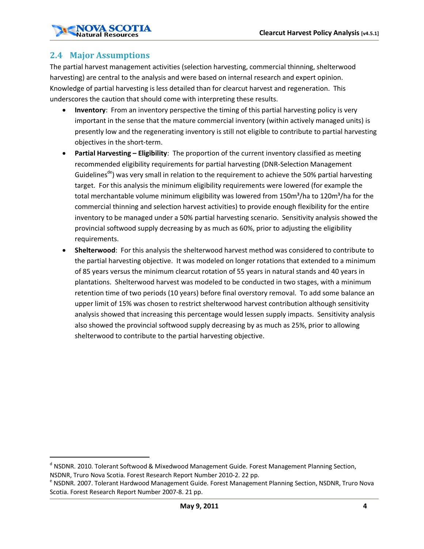## **2.4 Major Assumptions**

The partial harvest management activities (selection harvesting, commercial thinning, shelterwood harvesting) are central to the analysis and were based on internal research and expert opinion. Knowledge of partial harvesting is less detailed than for clearcut harvest and regeneration. This underscores the caution that should come with interpreting these results.

- · **Inventory**: From an inventory perspective the timing of this partial harvesting policy is very important in the sense that the mature commercial inventory (within actively managed units) is presently low and the regenerating inventory is still not eligible to contribute to partial harvesting objectives in the short-term.
- · **Partial Harvesting – Eligibility**: The proportion of the current inventory classified as meeting recommended eligibility requirements for partial harvesting (DNR-Selection Management Guidelines<sup>de</sup>) was very small in relation to the requirement to achieve the 50% partial harvesting target. For this analysis the minimum eligibility requirements were lowered (for example the total merchantable volume minimum eligibility was lowered from 150 $m<sup>3</sup>/h$ a to 120 $m<sup>3</sup>/h$ a for the commercial thinning and selection harvest activities) to provide enough flexibility for the entire inventory to be managed under a 50% partial harvesting scenario. Sensitivity analysis showed the provincial softwood supply decreasing by as much as 60%, prior to adjusting the eligibility requirements.
- · **Shelterwood**: For this analysis the shelterwood harvest method was considered to contribute to the partial harvesting objective. It was modeled on longer rotations that extended to a minimum of 85 years versus the minimum clearcut rotation of 55 years in natural stands and 40 years in plantations. Shelterwood harvest was modeled to be conducted in two stages, with a minimum retention time of two periods (10 years) before final overstory removal. To add some balance an upper limit of 15% was chosen to restrict shelterwood harvest contribution although sensitivity analysis showed that increasing this percentage would lessen supply impacts. Sensitivity analysis also showed the provincial softwood supply decreasing by as much as 25%, prior to allowing shelterwood to contribute to the partial harvesting objective.

d NSDNR. 2010. Tolerant Softwood & Mixedwood Management Guide. Forest Management Planning Section, NSDNR, Truro Nova Scotia. Forest Research Report Number 2010-2. 22 pp.<br><sup>e</sup> NSDNR. 2007. Tolerant Hardwood Management Guide. Forest Management Planning Section, NSDNR, Truro Nova

Scotia. Forest Research Report Number 2007-8. 21 pp.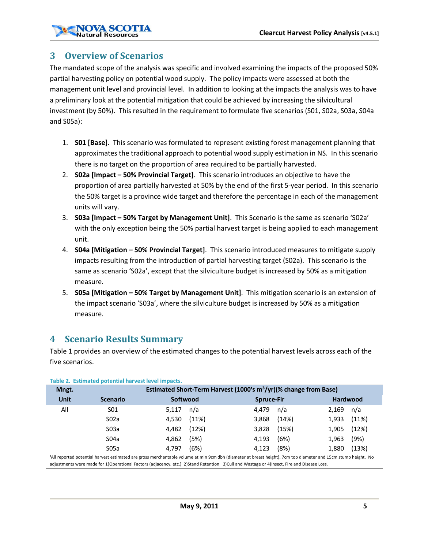# **3 Overview of Scenarios**

The mandated scope of the analysis was specific and involved examining the impacts of the proposed 50% partial harvesting policy on potential wood supply. The policy impacts were assessed at both the management unit level and provincial level. In addition to looking at the impacts the analysis was to have a preliminary look at the potential mitigation that could be achieved by increasing the silvicultural investment (by 50%). This resulted in the requirement to formulate five scenarios (S01, S02a, S03a, S04a and S05a):

- 1. **S01 [Base]**. This scenario was formulated to represent existing forest management planning that approximates the traditional approach to potential wood supply estimation in NS. In this scenario there is no target on the proportion of area required to be partially harvested.
- 2. **S02a [Impact – 50% Provincial Target]**. This scenario introduces an objective to have the proportion of area partially harvested at 50% by the end of the first 5-year period. In this scenario the 50% target is a province wide target and therefore the percentage in each of the management units will vary.
- 3. **S03a [Impact – 50% Target by Management Unit]**. This Scenario is the same as scenario 'S02a' with the only exception being the 50% partial harvest target is being applied to each management unit.
- 4. **S04a [Mitigation – 50% Provincial Target]**. This scenario introduced measures to mitigate supply impacts resulting from the introduction of partial harvesting target (S02a). This scenario is the same as scenario 'S02a', except that the silviculture budget is increased by 50% as a mitigation measure.
- 5. **S05a [Mitigation – 50% Target by Management Unit]**. This mitigation scenario is an extension of the impact scenario 'S03a', where the silviculture budget is increased by 50% as a mitigation measure.

# **4 Scenario Results Summary**

Table 1 provides an overview of the estimated changes to the potential harvest levels across each of the five scenarios.

| Mngt.                                                                                                                                                                      |                  | Estimated Short-Term Harvest (1000's m <sup>3</sup> /yr)(% change from Base) |                   |                |                 |  |  |
|----------------------------------------------------------------------------------------------------------------------------------------------------------------------------|------------------|------------------------------------------------------------------------------|-------------------|----------------|-----------------|--|--|
| <b>Unit</b>                                                                                                                                                                | <b>Scenario</b>  | Softwood                                                                     | <b>Spruce-Fir</b> |                | <b>Hardwood</b> |  |  |
| All                                                                                                                                                                        | S01              | 5.117<br>n/a                                                                 | 4.479             | 2,169<br>n/a   | n/a             |  |  |
|                                                                                                                                                                            | S <sub>02a</sub> | (11%)<br>4.530                                                               | 3,868             | (14%)<br>1,933 | (11%)           |  |  |
|                                                                                                                                                                            | S <sub>03a</sub> | (12%)<br>4.482                                                               | 3,828             | (15%)<br>1,905 | (12%)           |  |  |
|                                                                                                                                                                            | S04a             | (5%)<br>4.862                                                                | 4,193             | (6%)<br>1,963  | (9%)            |  |  |
|                                                                                                                                                                            | S <sub>05a</sub> | (6%)<br>4.797                                                                | 4,123             | (8%)<br>1,880  | (13%)           |  |  |
| <sup>1</sup> All reported potential harvest estimated are gross merchantable volume at min 9cm dbh (diameter at breast height), 7cm top diameter and 15cm stump height. No |                  |                                                                              |                   |                |                 |  |  |

#### **Table 2. Estimated potential harvest level impacts.**

<sup>1</sup>All reported potential harvest estimated are gross merchantable volume at min 9cm dbh (diameter at breast height), 7cm top diameter and 15cm stump height. No adjustments were made for 1)Operational Factors (adjacency, etc.) 2)Stand Retention 3)Cull and Wastage or 4)Insect, Fire and Disease Loss.